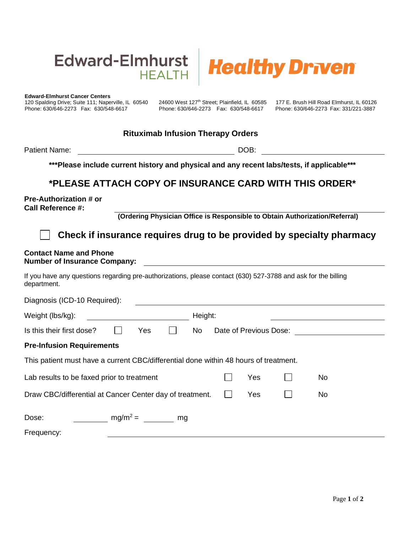



**Edward-Elmhurst Cancer Centers**

120 Spalding Drive; Suite 111; Naperville, IL 60540 24600 West 127<sup>th</sup> Street; Plainfield, IL 60585 177 E. Brush Hill Road Elmhurst, IL 60126<br>Phone: 630/646-2273 Fax: 630/548-6617 Phone: 630/646-2273 Fax: 630/548-6617 Phon Phone: 630/646-2273 Fax: 630/548-6617 Phone: 630/646-2273 Fax: 630/548-6617 Phone: 630/646-2273 Fax: 331/221-3887

#### **Rituximab Infusion Therapy Orders**

Patient Name:  $DOB$ :

**\*\*\*Please include current history and physical and any recent labs/tests, if applicable\*\*\***

## **\*PLEASE ATTACH COPY OF INSURANCE CARD WITH THIS ORDER\***

**Pre-Authorization # or Call Reference #:**

**(Ordering Physician Office is Responsible to Obtain Authorization/Referral)**

# **Check if insurance requires drug to be provided by specialty pharmacy**

### **Contact Name and Phone**

**Number of Insurance Company:**

If you have any questions regarding pre-authorizations, please contact (630) 527-3788 and ask for the billing department.

| Diagnosis (ICD-10 Required):                                                         |  |            |    |         |                        |     |  |           |  |
|--------------------------------------------------------------------------------------|--|------------|----|---------|------------------------|-----|--|-----------|--|
| Weight (lbs/kg):                                                                     |  |            |    | Height: |                        |     |  |           |  |
| Is this their first dose?                                                            |  | Yes        |    | No      | Date of Previous Dose: |     |  |           |  |
| <b>Pre-Infusion Requirements</b>                                                     |  |            |    |         |                        |     |  |           |  |
| This patient must have a current CBC/differential done within 48 hours of treatment. |  |            |    |         |                        |     |  |           |  |
| Lab results to be faxed prior to treatment                                           |  |            |    |         |                        | Yes |  | No        |  |
| Draw CBC/differential at Cancer Center day of treatment.                             |  |            |    |         | $\mathbf{I}$           | Yes |  | <b>No</b> |  |
| Dose:                                                                                |  | $mg/m^2 =$ | mg |         |                        |     |  |           |  |
| Frequency:                                                                           |  |            |    |         |                        |     |  |           |  |